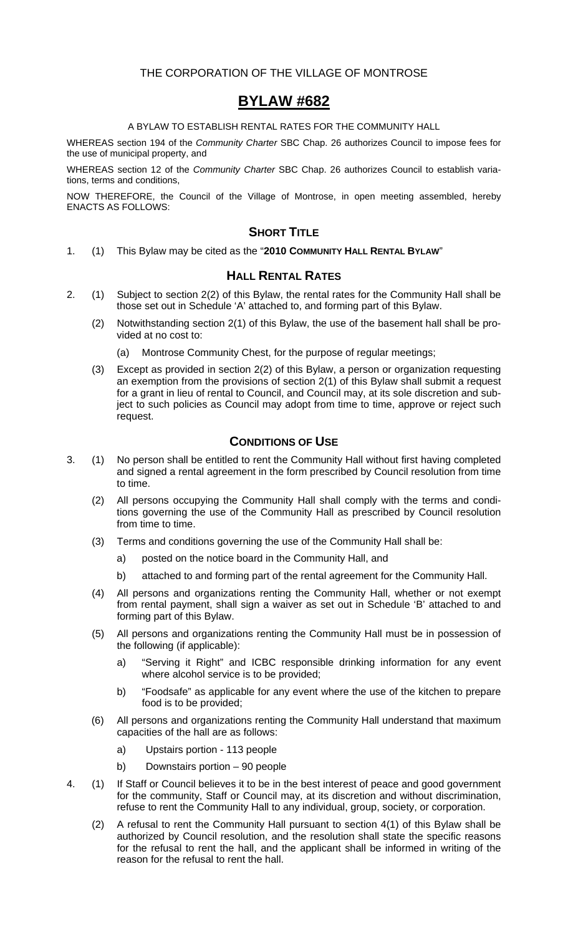### THE CORPORATION OF THE VILLAGE OF MONTROSE

# **BYLAW #682**

### A BYLAW TO ESTABLISH RENTAL RATES FOR THE COMMUNITY HALL

WHEREAS section 194 of the *Community Charter* SBC Chap. 26 authorizes Council to impose fees for the use of municipal property, and

WHEREAS section 12 of the *Community Charter* SBC Chap. 26 authorizes Council to establish variations, terms and conditions,

NOW THEREFORE, the Council of the Village of Montrose, in open meeting assembled, hereby ENACTS AS FOLLOWS:

# **SHORT TITLE**

1. (1) This Bylaw may be cited as the "**2010 COMMUNITY HALL RENTAL BYLAW**"

## **HALL RENTAL RATES**

- 2. (1) Subject to section 2(2) of this Bylaw, the rental rates for the Community Hall shall be those set out in Schedule 'A' attached to, and forming part of this Bylaw.
	- (2) Notwithstanding section 2(1) of this Bylaw, the use of the basement hall shall be provided at no cost to:
		- (a) Montrose Community Chest, for the purpose of regular meetings;
	- (3) Except as provided in section 2(2) of this Bylaw, a person or organization requesting an exemption from the provisions of section 2(1) of this Bylaw shall submit a request for a grant in lieu of rental to Council, and Council may, at its sole discretion and subject to such policies as Council may adopt from time to time, approve or reject such request.

# **CONDITIONS OF USE**

- 3. (1) No person shall be entitled to rent the Community Hall without first having completed and signed a rental agreement in the form prescribed by Council resolution from time to time.
	- (2) All persons occupying the Community Hall shall comply with the terms and conditions governing the use of the Community Hall as prescribed by Council resolution from time to time.
	- (3) Terms and conditions governing the use of the Community Hall shall be:
		- a) posted on the notice board in the Community Hall, and
		- b) attached to and forming part of the rental agreement for the Community Hall.
	- (4) All persons and organizations renting the Community Hall, whether or not exempt from rental payment, shall sign a waiver as set out in Schedule 'B' attached to and forming part of this Bylaw.
	- (5) All persons and organizations renting the Community Hall must be in possession of the following (if applicable):
		- a) "Serving it Right" and ICBC responsible drinking information for any event where alcohol service is to be provided;
		- b) "Foodsafe" as applicable for any event where the use of the kitchen to prepare food is to be provided;
	- (6) All persons and organizations renting the Community Hall understand that maximum capacities of the hall are as follows:
		- a) Upstairs portion 113 people
		- b) Downstairs portion 90 people
- 4. (1) If Staff or Council believes it to be in the best interest of peace and good government for the community, Staff or Council may, at its discretion and without discrimination, refuse to rent the Community Hall to any individual, group, society, or corporation.
	- (2) A refusal to rent the Community Hall pursuant to section 4(1) of this Bylaw shall be authorized by Council resolution, and the resolution shall state the specific reasons for the refusal to rent the hall, and the applicant shall be informed in writing of the reason for the refusal to rent the hall.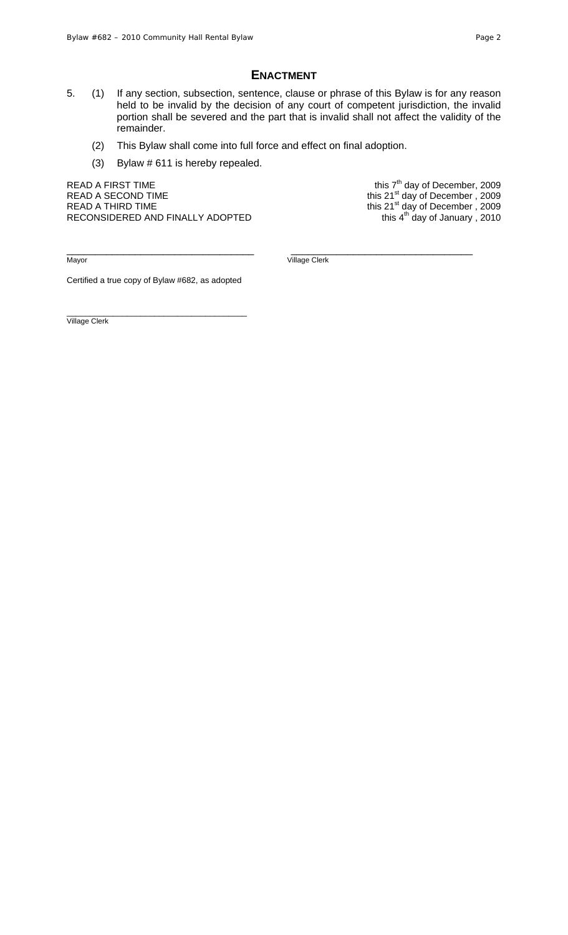#### **ENACTMENT**

- 5. (1) If any section, subsection, sentence, clause or phrase of this Bylaw is for any reason held to be invalid by the decision of any court of competent jurisdiction, the invalid portion shall be severed and the part that is invalid shall not affect the validity of the remainder.
	- (2) This Bylaw shall come into full force and effect on final adoption.
	- (3) Bylaw # 611 is hereby repealed.

READ A FIRST TIME  $\frac{1}{200}$  and this  $7<sup>th</sup>$  day of December, 2009 READ A SECOND TIME **this 21<sup>st</sup> day of December**, 2009 READ A THIRD TIME THIS 21st day of December , 2009 RECONSIDERED AND FINALLY ADOPTED

\_\_\_\_\_\_\_\_\_\_\_\_\_\_\_\_\_\_\_\_\_\_\_\_\_\_\_\_\_\_\_\_\_ \_\_\_\_\_\_\_\_\_\_\_\_\_\_\_\_\_\_\_\_\_\_\_\_\_\_\_\_\_\_\_\_

Mayor Village Clerk

Certified a true copy of Bylaw #682, as adopted

\_\_\_\_\_\_\_\_\_\_\_\_\_\_\_\_\_\_\_\_\_\_\_\_\_\_\_\_\_\_\_\_\_\_\_\_\_\_\_ Village Clerk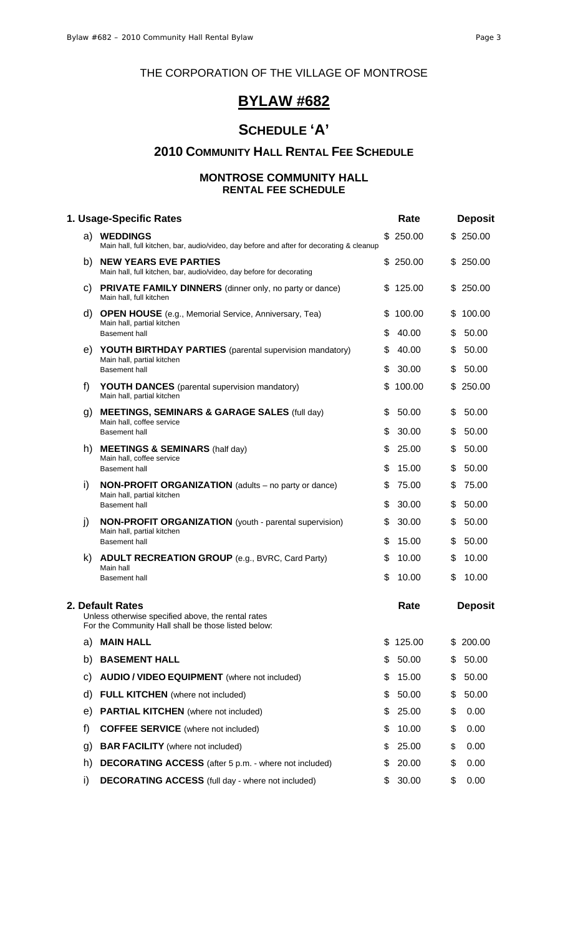# THE CORPORATION OF THE VILLAGE OF MONTROSE

# **BYLAW #682**

# **SCHEDULE 'A'**

# **2010 COMMUNITY HALL RENTAL FEE SCHEDULE**

### **MONTROSE COMMUNITY HALL RENTAL FEE SCHEDULE**

| 1. Usage-Specific Rates |                                                                                                                               |          | Rate            |          | <b>Deposit</b>  |
|-------------------------|-------------------------------------------------------------------------------------------------------------------------------|----------|-----------------|----------|-----------------|
|                         | a) WEDDINGS<br>Main hall, full kitchen, bar, audio/video, day before and after for decorating & cleanup                       |          | \$250.00        |          | \$250.00        |
| b)                      | <b>NEW YEARS EVE PARTIES</b><br>Main hall, full kitchen, bar, audio/video, day before for decorating                          |          | \$250.00        |          | \$250.00        |
| C)                      | <b>PRIVATE FAMILY DINNERS</b> (dinner only, no party or dance)<br>Main hall, full kitchen                                     |          | \$125.00        |          | \$250.00        |
| d)                      | <b>OPEN HOUSE</b> (e.g., Memorial Service, Anniversary, Tea)<br>Main hall, partial kitchen<br><b>Basement hall</b>            | S.<br>\$ | 100.00<br>40.00 | \$<br>\$ | 100.00<br>50.00 |
| e)                      | <b>YOUTH BIRTHDAY PARTIES</b> (parental supervision mandatory)<br>Main hall, partial kitchen<br><b>Basement hall</b>          | \$<br>\$ | 40.00<br>30.00  | \$<br>\$ | 50.00<br>50.00  |
| f)                      | <b>YOUTH DANCES</b> (parental supervision mandatory)<br>Main hall, partial kitchen                                            | \$       | 100.00          | \$       | 250.00          |
| g)                      | <b>MEETINGS, SEMINARS &amp; GARAGE SALES (full day)</b><br>Main hall, coffee service<br><b>Basement hall</b>                  | S<br>\$  | 50.00<br>30.00  | \$<br>\$ | 50.00<br>50.00  |
| h)                      | <b>MEETINGS &amp; SEMINARS (half day)</b><br>Main hall, coffee service<br><b>Basement hall</b>                                | \$<br>\$ | 25.00<br>15.00  | \$<br>\$ | 50.00<br>50.00  |
| i)                      | <b>NON-PROFIT ORGANIZATION</b> (adults – no party or dance)<br>Main hall, partial kitchen                                     | S        | 75.00           | \$       | 75.00           |
| j)                      | <b>Basement hall</b><br><b>NON-PROFIT ORGANIZATION</b> (youth - parental supervision)<br>Main hall, partial kitchen           | \$<br>\$ | 30.00<br>30.00  | \$<br>\$ | 50.00<br>50.00  |
| k)                      | <b>Basement hall</b><br><b>ADULT RECREATION GROUP</b> (e.g., BVRC, Card Party)<br>Main hall                                   | \$<br>\$ | 15.00<br>10.00  | \$<br>\$ | 50.00<br>10.00  |
|                         | <b>Basement hall</b>                                                                                                          | \$       | 10.00           | \$       | 10.00           |
|                         | 2. Default Rates<br>Unless otherwise specified above, the rental rates<br>For the Community Hall shall be those listed below: |          | Rate            |          | <b>Deposit</b>  |
| a)                      | <b>MAIN HALL</b>                                                                                                              | \$       | 125.00          | \$       | 200.00          |
| b)                      | <b>BASEMENT HALL</b>                                                                                                          | \$       | 50.00           | \$       | 50.00           |
| C)                      | <b>AUDIO / VIDEO EQUIPMENT</b> (where not included)                                                                           | \$       | 15.00           | \$       | 50.00           |
| d)                      | <b>FULL KITCHEN</b> (where not included)                                                                                      | \$       | 50.00           | \$       | 50.00           |
| e)                      | <b>PARTIAL KITCHEN</b> (where not included)                                                                                   | \$       | 25.00           | \$       | 0.00            |
| f)                      | <b>COFFEE SERVICE</b> (where not included)                                                                                    | \$       | 10.00           | \$       | 0.00            |
| g)                      | <b>BAR FACILITY</b> (where not included)                                                                                      | \$       | 25.00           | \$       | 0.00            |
| h)                      | <b>DECORATING ACCESS</b> (after 5 p.m. - where not included)                                                                  | S        | 20.00           | \$       | 0.00            |
| i)                      | <b>DECORATING ACCESS</b> (full day - where not included)                                                                      | \$       | 30.00           | \$       | 0.00            |